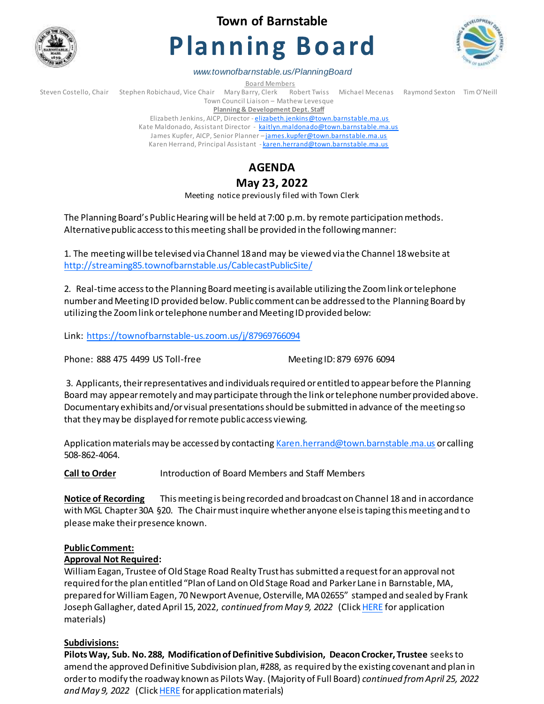

## **Town of Barnstable**

# **Planning Board**



*www.townofbarnstable.us/PlanningBoard*

Board Members

Steven Costello, Chair Stephen Robichaud, Vice Chair Mary Barry, Clerk Robert Twiss Michael Mecenas Raymond Sexton Tim O'Neill Town Council Liaison – Mathew Levesque

**Planning & Development Dept. Staff** 

Elizabeth Jenkins, AICP, Director - [elizabeth.jenkins@town.barnstable.ma.](mailto:elizabeth.jenkins@town.barnstable.ma.us)us Kate Maldonado, Assistant Director - [kaitlyn.maldonado@town.barnstable.ma.](mailto:kaitlyn.maldonado@town.barnstable.ma.us)us James Kupfer, AICP, Senior Planner - [james.kupfer@town.barnstable.ma.u](mailto:james.kupfer@town.barnstable.ma.us)s Karen Herrand, Principal Assistant - [karen.herrand@town.barnstable.ma.](mailto:karen.herrand@town.barnstable.ma.us)us

# **AGENDA**

## **May 23, 2022**

Meeting notice previously filed with Town Clerk

The Planning Board's Public Hearing will be held at 7:00 p.m. by remote participation methods. Alternative public access to this meeting shall be provided in the following manner:

1. The meeting will be televised via Channel 18 and may be viewed via the Channel 18 website at <http://streaming85.townofbarnstable.us/CablecastPublicSite/>

2. Real-time access to the Planning Board meeting is available utilizing the Zoom link or telephone number and Meeting ID provided below. Public comment can be addressed to the Planning Board by utilizing the Zoom link or telephone number and Meeting ID provided below:

Link:<https://townofbarnstable-us.zoom.us/j/87969766094>

Phone: 888 475 4499 US Toll-free Meeting ID: 879 6976 6094

3. Applicants, their representatives and individuals required or entitled to appear before the Planning Board may appear remotely and may participate through the link or telephone number provided above. Documentary exhibits and/or visual presentations should be submitted in advance of the meeting so that they may be displayed for remote public access viewing.

Application materials may be accessed by contacting [Karen.herrand@town.barnstable.ma.us](mailto:Karen.herrand@town.barnstable.ma.us) or calling 508-862-4064.

**Call to Order** Introduction of Board Members and Staff Members

**Notice of Recording** This meeting is being recorded and broadcast on Channel 18 and in accordance with MGL Chapter 30A §20. The Chair must inquire whether anyone else is taping this meeting and to please make their presence known.

## **Public Comment:**

## **Approval Not Required:**

William Eagan, Trustee of Old Stage Road Realty Trust has submitted a request for an approval not required for the plan entitled "Plan of Land on Old Stage Road and Parker Lane in Barnstable, MA, prepared for William Eagen, 70 Newport Avenue, Osterville, MA 02655" stamped and sealed by Frank Joseph Gallagher, dated April 15, 2022, *continued from May 9, 2022* (Click HERE for application materials)

## **Subdivisions:**

**Pilots Way, Sub. No. 288, Modification of Definitive Subdivision, Deacon Crocker, Trustee** seeks to amend the approved Definitive Subdivision plan, #288, as required by the existing covenant and plan in order to modify the roadway known as Pilots Way. (Majority of Full Board) *continued from April 25, 2022* and May 9, 2022 (Click HERE for application materials)